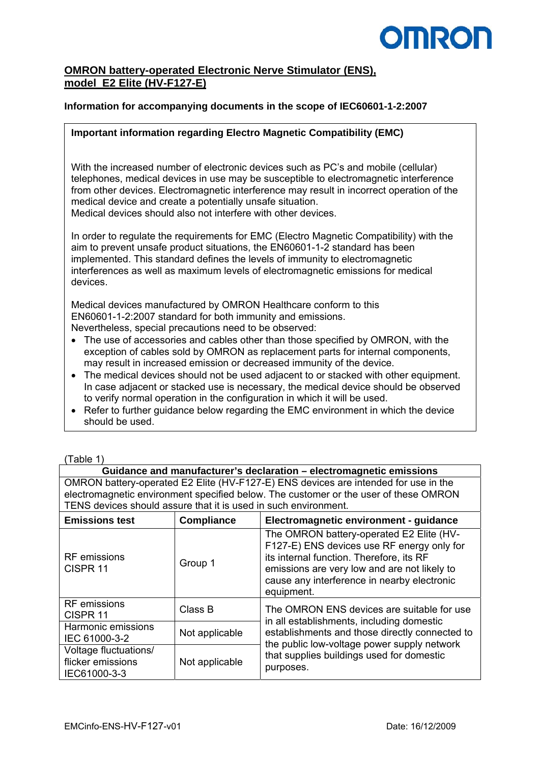# **OMRO**

## **OMRON battery-operated Electronic Nerve Stimulator (ENS), model E2 Elite (HV-F127-E)**

#### **Information for accompanying documents in the scope of IEC60601-1-2:2007**

#### **Important information regarding Electro Magnetic Compatibility (EMC)**

With the increased number of electronic devices such as PC's and mobile (cellular) telephones, medical devices in use may be susceptible to electromagnetic interference from other devices. Electromagnetic interference may result in incorrect operation of the medical device and create a potentially unsafe situation. Medical devices should also not interfere with other devices.

In order to regulate the requirements for EMC (Electro Magnetic Compatibility) with the aim to prevent unsafe product situations, the EN60601-1-2 standard has been implemented. This standard defines the levels of immunity to electromagnetic interferences as well as maximum levels of electromagnetic emissions for medical devices.

Medical devices manufactured by OMRON Healthcare conform to this EN60601-1-2:2007 standard for both immunity and emissions. Nevertheless, special precautions need to be observed:

- The use of accessories and cables other than those specified by OMRON, with the exception of cables sold by OMRON as replacement parts for internal components, may result in increased emission or decreased immunity of the device.
- The medical devices should not be used adjacent to or stacked with other equipment. In case adjacent or stacked use is necessary, the medical device should be observed to verify normal operation in the configuration in which it will be used.
- Refer to further guidance below regarding the EMC environment in which the device should be used.

| (Table 1 |  |
|----------|--|
|          |  |

**Guidance and manufacturer's declaration – electromagnetic emissions**  OMRON battery-operated E2 Elite (HV-F127-E) ENS devices are intended for use in the electromagnetic environment specified below. The customer or the user of these OMRON TENS devices should assure that it is used in such environment.

| <b>Emissions test</b>                                      | <b>Compliance</b> | Electromagnetic environment - guidance                                                                                                                                                                                                          |
|------------------------------------------------------------|-------------------|-------------------------------------------------------------------------------------------------------------------------------------------------------------------------------------------------------------------------------------------------|
| <b>RF</b> emissions<br>CISPR <sub>11</sub>                 | Group 1           | The OMRON battery-operated E2 Elite (HV-<br>F127-E) ENS devices use RF energy only for<br>its internal function. Therefore, its RF<br>emissions are very low and are not likely to<br>cause any interference in nearby electronic<br>equipment. |
| <b>RF</b> emissions<br>CISPR <sub>11</sub>                 | Class B           | The OMRON ENS devices are suitable for use<br>in all establishments, including domestic                                                                                                                                                         |
| Harmonic emissions<br>IEC 61000-3-2                        | Not applicable    | establishments and those directly connected to<br>the public low-voltage power supply network                                                                                                                                                   |
| Voltage fluctuations/<br>flicker emissions<br>IEC61000-3-3 | Not applicable    | that supplies buildings used for domestic<br>purposes.                                                                                                                                                                                          |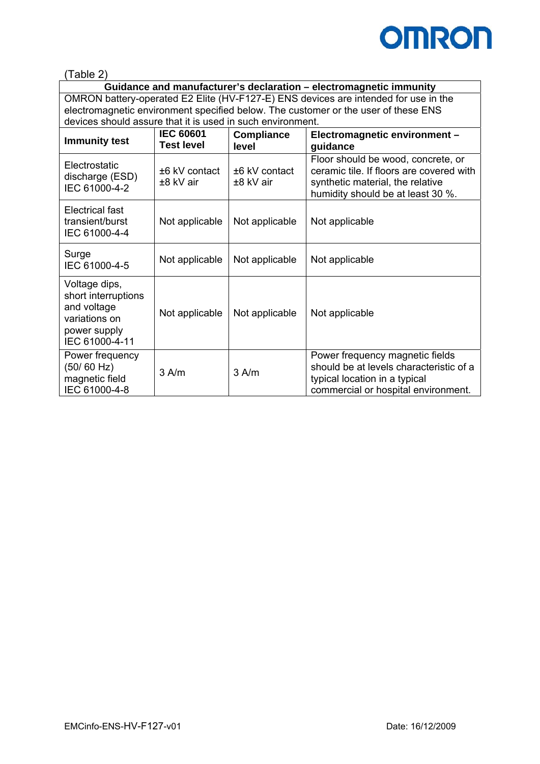

(Table 2)

**Guidance and manufacturer's declaration – electromagnetic immunity**  OMRON battery-operated E2 Elite (HV-F127-E) ENS devices are intended for use in the electromagnetic environment specified below. The customer or the user of these ENS devices should assure that it is used in such environment.

| <b>Immunity test</b>                                                                                   | <b>IEC 60601</b><br><b>Test level</b> | <b>Compliance</b><br>level | Electromagnetic environment -<br>guidance                                                                                                               |
|--------------------------------------------------------------------------------------------------------|---------------------------------------|----------------------------|---------------------------------------------------------------------------------------------------------------------------------------------------------|
| Electrostatic<br>discharge (ESD)<br>IEC 61000-4-2                                                      | $±6$ kV contact<br>±8 kV air          | ±6 kV contact<br>±8 kV air | Floor should be wood, concrete, or<br>ceramic tile. If floors are covered with<br>synthetic material, the relative<br>humidity should be at least 30 %. |
| Electrical fast<br>transient/burst<br>IEC 61000-4-4                                                    | Not applicable                        | Not applicable             | Not applicable                                                                                                                                          |
| Surge<br>IEC 61000-4-5                                                                                 | Not applicable                        | Not applicable             | Not applicable                                                                                                                                          |
| Voltage dips,<br>short interruptions<br>and voltage<br>variations on<br>power supply<br>IEC 61000-4-11 | Not applicable                        | Not applicable             | Not applicable                                                                                                                                          |
| Power frequency<br>(50/60 Hz)<br>magnetic field<br>IEC 61000-4-8                                       | $3$ A/m                               | $3$ A/m                    | Power frequency magnetic fields<br>should be at levels characteristic of a<br>typical location in a typical<br>commercial or hospital environment.      |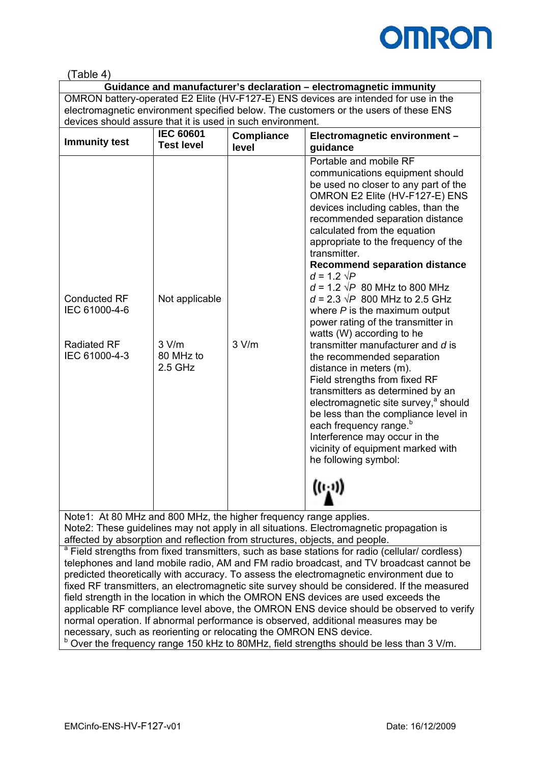

### (Table 4)

**Guidance and manufacturer's declaration – electromagnetic immunity**  OMRON battery-operated E2 Elite (HV-F127-E) ENS devices are intended for use in the electromagnetic environment specified below. The customers or the users of these ENS devices should assure that it is used in such environment.

| <b>Immunity test</b>                 | <b>IEC 60601</b><br><b>Test level</b> | <b>Compliance</b><br>level | Electromagnetic environment -<br>guidance                                                                                                                                                                                                                                                                                                                                                                                                                                                |
|--------------------------------------|---------------------------------------|----------------------------|------------------------------------------------------------------------------------------------------------------------------------------------------------------------------------------------------------------------------------------------------------------------------------------------------------------------------------------------------------------------------------------------------------------------------------------------------------------------------------------|
| <b>Conducted RF</b><br>IEC 61000-4-6 | Not applicable                        |                            | Portable and mobile RF<br>communications equipment should<br>be used no closer to any part of the<br>OMRON E2 Elite (HV-F127-E) ENS<br>devices including cables, than the<br>recommended separation distance<br>calculated from the equation<br>appropriate to the frequency of the<br>transmitter.<br><b>Recommend separation distance</b><br>$d = 1.2 \sqrt{P}$<br>$d = 1.2 \sqrt{P}$ 80 MHz to 800 MHz<br>$d = 2.3 \sqrt{P}$ 800 MHz to 2.5 GHz<br>where $P$ is the maximum output    |
| <b>Radiated RF</b><br>IEC 61000-4-3  | 3 V/m<br>80 MHz to<br>$2.5$ GHz       | 3 V/m                      | power rating of the transmitter in<br>watts (W) according to he<br>transmitter manufacturer and d is<br>the recommended separation<br>distance in meters (m).<br>Field strengths from fixed RF<br>transmitters as determined by an<br>electromagnetic site survey, <sup>a</sup> should<br>be less than the compliance level in<br>each frequency range. <sup>b</sup><br>Interference may occur in the<br>vicinity of equipment marked with<br>he following symbol:<br>$((\cdot, \cdot))$ |

Note1: At 80 MHz and 800 MHz, the higher frequency range applies. Note2: These guidelines may not apply in all situations. Electromagnetic propagation is affected by absorption and reflection from structures, objects, and people.

<sup>a</sup> Field strengths from fixed transmitters, such as base stations for radio (cellular/ cordless) telephones and land mobile radio, AM and FM radio broadcast, and TV broadcast cannot be predicted theoretically with accuracy. To assess the electromagnetic environment due to fixed RF transmitters, an electromagnetic site survey should be considered. If the measured field strength in the location in which the OMRON ENS devices are used exceeds the applicable RF compliance level above, the OMRON ENS device should be observed to verify normal operation. If abnormal performance is observed, additional measures may be necessary, such as reorienting or relocating the OMRON ENS device.  $b$  Over the frequency range 150 kHz to 80MHz, field strengths should be less than 3 V/m.